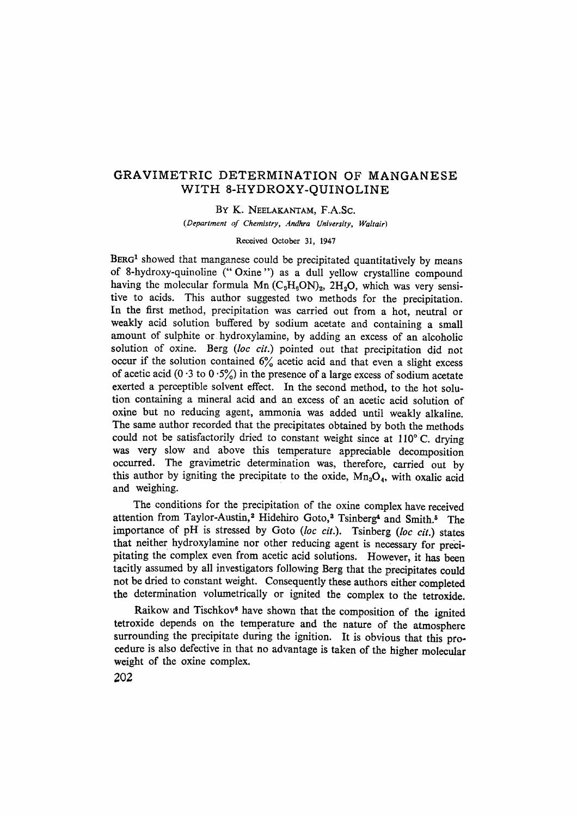# GRAVIMETRIC DETERMINATION OF MANGANESE WITH 8-HYDROXY-QUINOLINE

BY K. NEELAKANTAM, F.A.Sc.

*(Department of Chemistry, Andhra University, Waltair)* 

### Received October 31, 1947

BERG<sup>1</sup> showed that manganese could be precipitated quantitatively by means of 8-hydroxy-quinoline ("Oxine") as a dull yellow crystalline compound having the molecular formula Mn  $(C_9H_6ON)_2$ , 2H<sub>2</sub>O, which was very sensitire to acids. This author suggested two methods for the precipitation. In the first method, precipitation was carried out from a hot, neutral or weakly acid solution buffered by sodium acetate and containing a small amount of sulphite or hydroxylamine, by adding ah excess of an alcoholic solution of oxine. Berg *(loc cit.)* pointed out that precipitation did not occur if the solution contained  $6\%$  acetic acid and that even a slight excess of acetic acid (0  $\cdot$ 3 to 0  $\cdot$ 5%) in the presence of a large excess of sodium acetate exerted a perceptible solvent effect. In the second method, to the hot solution containing a mineral acid and ah excess of an acetic acid solution of oxine but no reducing agent, ammonia was added until weakly alkaline. The same author recorded that the precipitates obtained by both the methods could not be satisfactorily dried to constant weight since at  $110^{\circ}$ C. drying was very slow and above this temperature appreciable decomposition occurred. The gravimetric determination was, therefore, carried out by this author by igniting the precipitate to the oxide,  $Mn<sub>3</sub>O<sub>4</sub>$ , with oxalic acid and weighing.

The conditions for the precipitation of the oxine complex have received attention from Taylor-Austin,<sup>2</sup> Hidehiro Goto,<sup>3</sup> Tsinberg<sup>4</sup> and Smith.<sup>5</sup> The importante of pH is stressed by Goto *(loc cit.).* Tsinberg *(loc cit.)* states that neither hydroxylamine nor other reducing agent is necessary for precipitating the complex even from acetic acid solutions. However, it has been tacitly assumed by all invesfigators following Berg that the precipitates could not be dried to constant weight. Consequently these authors either completed the deterrnination volumetrically or ignited the complex to the tetroxide.

Raikow and Tischkov<sup>6</sup> have shown that the composition of the ignited tetroxide depends on the temperature and the nature of the atmosphere surrounding the precipitate during the ignition. It is obvious that this procedure is also defective in that no advantage is taken of the higher molecular weight of the oxine complex.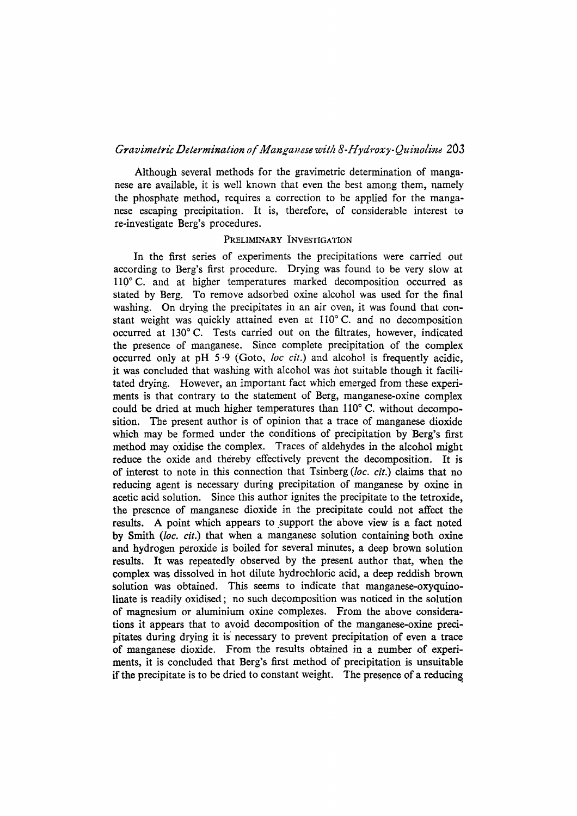# *Gravimetric Determination of Manganese with 8-Hydroxy-Quinoline* 203

Although several methods for the gravimetric determination of manganese are available, it is well known that even the best among them, namely the phosphate method, requires a correction to be applied for the manganese escaping precipitation. It is, therefore, of considerable interest to re-investigate Berg's procedures.

### PRELIMINARY INVESTIGATION

In the first series of experiments the precipitations were carried out according to Berg's first procedure. Drying was found to be very slow at 110° C. and at higher temperatures marked decomposition occurred as stated by Berg. To remove adsorbed oxine alcohol was used for the final washing. On drying the precipitates in an air oyen, it was found that constant weight was quickly attained even at  $110^{\circ}$  C. and no decomposition occurred at 130°C. Tests carried out on the filtrates, however, indicated the presence of manganese. Since complete precipitation of the complex occurred only at pH 5.9 (Goto, *loc cit.*) and alcohol is frequently acidic, it was concluded that washing with alcohol was not suitable though it facilitated drying. However, an important fact which emerged from these experiments is that contrary to the statement of Berg, manganese-oxine complex could be dried at much higher temperatures than  $110^{\circ}$  C. without decomposition. The present author is of opinion that a trace of manganese dioxide which may be formed under the conditions of precipitation by Berg's first method may oxidise the complex. Traces of aldehydes in the alcohol might reduce the oxide and thereby effectively prevent the decomposition. It is of interest to note in this connection that Tsinberg *(loc. cit.)* claims that no reducing agent is necessary during precipitation of manganese by oxine in acetic acid solution. Since this author ignites the precipitate to the tetroxide, the presence of manganese dioxide in the precipitate could not affect the results. A point which appears to support the above view is a fact noted by Smith *(loc. cit.)* that when a manganese solution containing both oxine and hydrogen peroxide is boiled for several minutes, a deep brown solution results. Ir was repeatedly observed by the present author that, when the complex was dissolved in hot dilute hydrochloric acid, a deep reddish brown solution was obtained. This seems to indicate that manganese-oxyquinolinate is readily oxidised ; no such decomposition was noticed in the solution of magnesium or aluminium oxine complexes. From the above considerations ir appears that to avoid decomposition of the manganese-oxine precipitates during drying it is necessary to prevent precipitation of even a trace of manganese dioxide. From the results obtained in a number of experiments, ir is concluded that Berg's first method of precipitation is unsuitable if the precipitate is to be dried to constant weight. The presence of a reducing,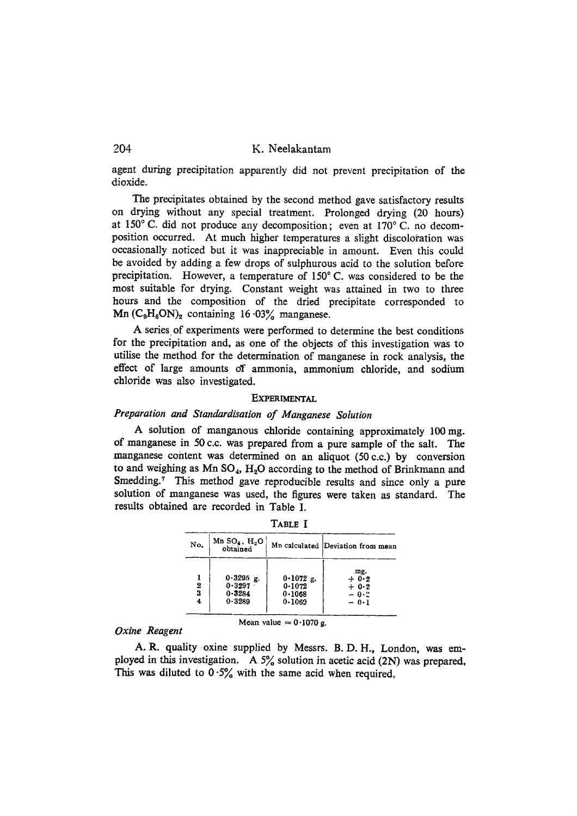# 204 K. Neelakantam

agent during precipitation apparently did not prevent precipitation of the dioxide.

The precipitates obtained by the second method gave satisfactory results on drying without any special treatment. Prolonged drying (20 hoars) at  $150^{\circ}$  C. did not produce any decomposition; even at  $170^{\circ}$  C. no decomposition occurred. At much higher temperatures a slight discoloration was occasionally noticed but ir was inappreciable in amount. Even this could be avoided by adding a few drops of sutphurous acid to the solution before precipitation. However, a temperature of 150°C. was considered to be the most suitable for drying. Constant weight was attained in two to three hours and the composition of the dried precipitate corresponded to  $Mn$  (C<sub>9</sub>H<sub>6</sub>ON)<sub>2</sub> containing 16.03% manganese.

A series of experiments were performed to determine the best conditions for the precipitation and, as one of the objects of this investigation was to utilise the method for the determination of manganese in rock analysis, the effect of large amounts of ammonia, ammonium chloride, and sodium chloride was also investigated.

### **EXPERIMENTAL**

## *Preparation and Standardisation of Manganese Solution*

A solution of manganous chloride containing approximately 100 mg. of manganese in 50 c.c. was prepared from a pure sample of the salt. The manganese content was determined on an aliquot (50 c.c.) by conversion to and weighing as  $Mn SO_4$ ,  $H_2O$  according to the method of Brinkmann and Smedding.<sup>7</sup> This method gave reproducible results and since only a pure solution of manganese was used, the figures were taken as standard. The results obtained are recorded in Table I.

| No.    | Mn $SO_4$ , $H_2O$<br>obtained                    |                                           | Mn calculated Deviation from mean            |
|--------|---------------------------------------------------|-------------------------------------------|----------------------------------------------|
| 2<br>3 | $0.3295$ g.<br>$0 - 3297$<br>$0 - 3284$<br>0.3289 | $0.1072$ g.<br>0.1072<br>0.1068<br>0.1069 | mg.<br>$+0.2$<br>$+ 0.2$<br>$-0.2$<br>$-0.1$ |

TABLE I

*Oxine Reagent* 

A. R. quality oxine supplied by Messrs. B. D. H., London, was employed in this investigation. A  $5\%$  solution in acetic acid (2N) was prepared, This was diluted to  $0.5\%$  with the same acid when required.

Mean value  $= 0.1070$  g.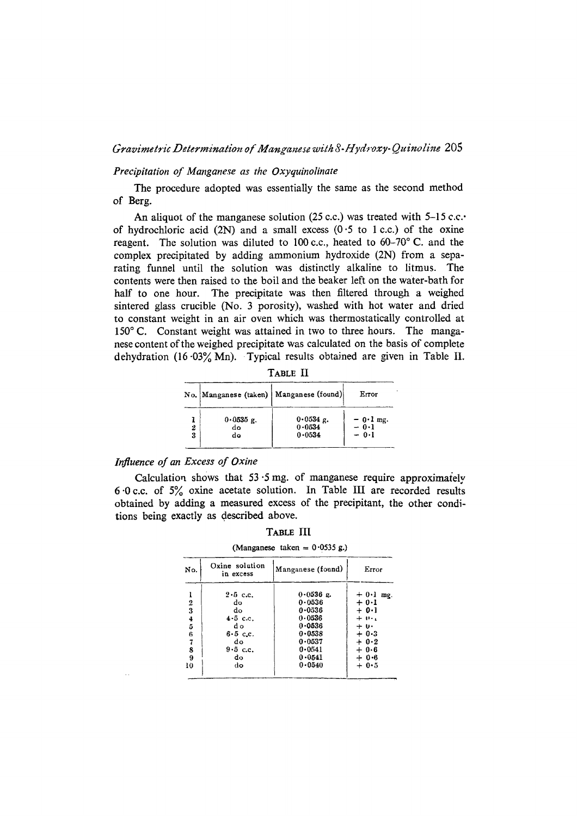### *Gravimetric Determination o/" Mans witk 8-Hydroxy- Quinoline* 205

### *Precipitation of Manganese as the Oxyquinolinate*

The procedure adopted was essentially the same as the second method of Berg.

An aliquot of the manganese solution (25 c.c.) was treated with 5-15 c.c.. of hydrochloric acid (2N) and a small excess  $(0.5 \text{ to } 1 \text{ c.c.})$  of the oxine reagent. The solution was diluted to 100 c.c., heated to  $60-70^\circ$  C. and the complex precipitated by adding ammonium hydroxide (2N) from a separating funnel until the solution was distinctly alkaline to litmus. The contents were then raised to the boil and the beaker left on the water-bath for half to one hour. The precipitate was then filtered through a weighed sintered glass crucible (No. 3 porosity), washed with hot water and dried to constant weight in ah air oyen which was thermostaticaIly controlled at  $150^\circ$  C. Constant weight was attained in two to three hours. The manganese content of the weighed precipitate was calculated on the basis of complete dehydration (16  $03\%$  Mn). Typical results obtained are given in Table II.

| . .<br>$\sim$<br>۰, |  |
|---------------------|--|
|---------------------|--|

|        |                         | No.  Manganese (taken)   Manganese (found) | Error                        |
|--------|-------------------------|--------------------------------------------|------------------------------|
| 2<br>3 | $0.0535$ g.<br>do<br>do | 0.0534 g.<br>0.0534<br>0.0534              | $-0.1$ mg.<br>- 0.1<br>- 0.1 |

### *Influence of an Excess of Oxine*

Calculation shows that  $53.5$  mg. of manganese require approximately 6-0 c.c. of 59/0 oxine acetate solution. In Table III are recorded results obtained by adding a measured excess of the precipitant, the other conditions being exactly as described above.

| No.                     | Oxine solution<br>in excess | Manganese (found) | Error      |
|-------------------------|-----------------------------|-------------------|------------|
| ı                       | $2.5$ c.c.                  | $0.0536$ g.       | $+0.1$ mg. |
|                         | do                          | $0 - 0536$        | $+ 0.1$    |
| $\frac{2}{3}$           | do                          | $0 - 0.536$       | $+0.1$     |
|                         | $4.5$ c.c.                  | 0.0536            | $+ 0.1$    |
| $\frac{4}{5}$ 6         | d o                         | 0.0536            | + ሁ•       |
|                         | $6.5$ c.c.                  | 0.0538            | $+ 0.3$    |
| $\overline{\mathbf{z}}$ | do                          | 0.0537            | $+ 0.2$    |
| 8                       | $9.5$ c.c.                  | 0.0541            | $+0.6$     |
| 9                       | do                          | $0 - 0541$        | $+ 0.6$    |
| 10                      | do                          | 0.0540            | $+0.5$     |

(Manganese taken =  $0.0535$  g.)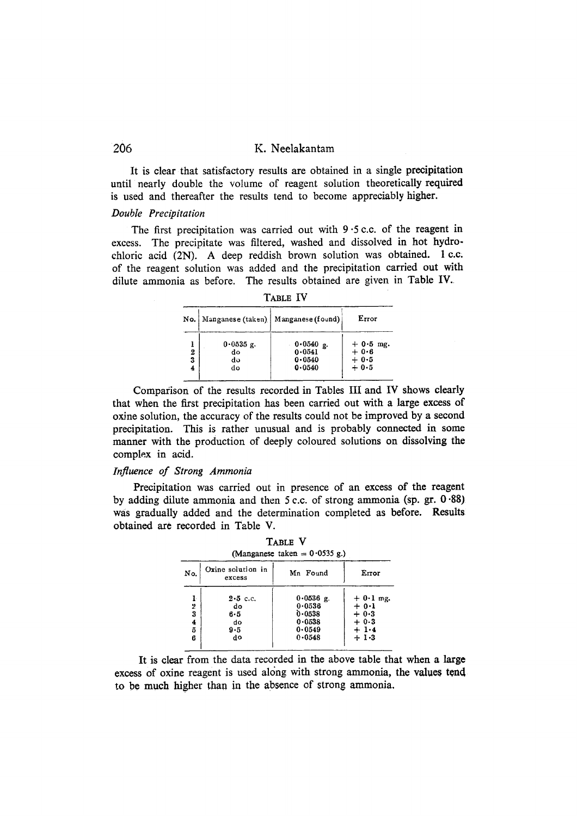# 206 K. **Neelakantam**

**It is elear that satisfactory results are obtained** in a **single preeipitation until nearly double the volume of reagent solution theoretically required is used and thereafter the results tend to become appreciably higher.** 

#### *Double Precipitation*

The first precipitation was carried out with 9.5 c.c. of the reagent in **excess. The precipitate was filtered, washed and dissolved in hot hydrochloric acid** (2N). A **deep reddish brown solution was obtained.** 1 c.c; **of the reagent** solution was **added and the precipitation carried out** with **dilute ammonia as before. The results obtained are given in Table** IV.

|             | No.   Manganese (taken)   Manganese (found) |                                               | Error                                     |
|-------------|---------------------------------------------|-----------------------------------------------|-------------------------------------------|
| 2<br>3<br>4 | $0.0535$ g.<br>do<br>dυ<br>do               | $0.0540$ g.<br>0.0541<br>$0 - 0540$<br>0.0540 | $+ 0.5$ mg.<br>$+0.6$<br>$+0.5$<br>$+0.5$ |

**Comparison of the results recorded in Tables III and IV shows clearly**  that when the first precipitation has been carried out with a large excess of **oxine solution, the accuracy of the results could not be improved by a second precipitation. This is rather unusual and is probably connected in some manner with the production of deeply coloured solutions on dissolving the complex in aeid.** 

### *Influence ~f Strong Ammonia*

**Precipitation was carried out in presence of an excess of the reagent by adding dilute ammonia and then 5 c.c. of strong ammonia (sp. gr. 0.88) was gradually added and the determination completed as before. Results obtained are recorded in Table V.** 

 $T \rightarrow T$ 

| .<br>(Manganese taken = $0.0535$ g.) |                                   |                                           |                                           |
|--------------------------------------|-----------------------------------|-------------------------------------------|-------------------------------------------|
| No.                                  | Oxine solution in<br>excess       | Mn Found                                  | Error                                     |
| ŀ<br>2<br>3<br>4                     | $2.5$ c.c.<br>do<br>$6 - 5$<br>do | $0.0536$ g.<br>0.0536<br>0.0538<br>0.0538 | $+0.1$ mg.<br>$+ 0.1$<br>$+0.3$<br>$+0.3$ |
| õ<br>6                               | 9.5<br>do                         | 0.0549<br>$0 - 0548$                      | $+1.4$<br>$+1.3$                          |

**It is clear from the data recorded in the above table that when a large**  excess of oxine reagent is used along with strong ammonia, the values tend to be much higher than in the absence of strong ammonia.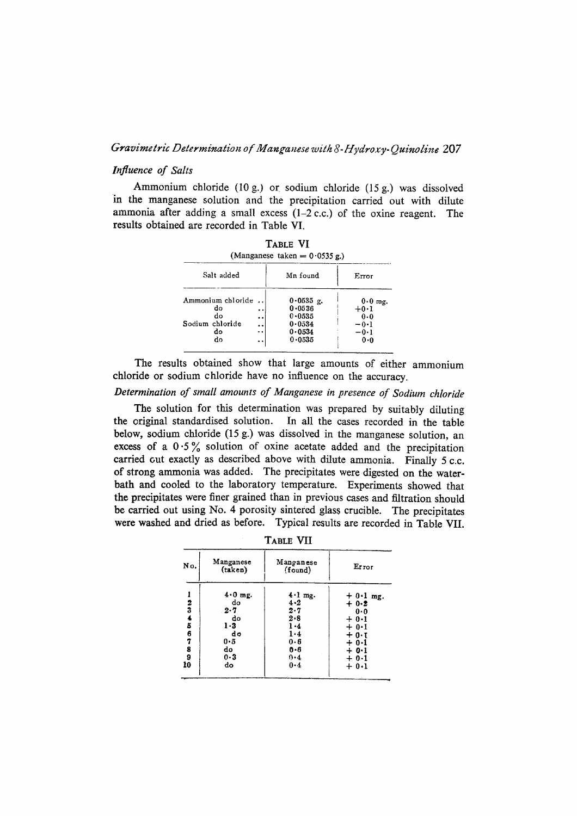### *Gravimetric Determination of Manganese with 8-Hydroxy-Quinoline* 207

# *Influence of Salts*

Ammonium chloride (10 g.) of sodium chloride (15 g.) was dissolved in the manganese solution and the precipitation carried out with dilute ammonia after adding a small excess  $(1-2)$  c.c.) of the oxine reagent. The results obtained are recorded in Table VI.

 $T_{\text{max}} = \overline{M}$ 

| IABLE VI<br>(Manganese taken = $0.0535$ g.)                  |                                               |                                                                       |                                                     |
|--------------------------------------------------------------|-----------------------------------------------|-----------------------------------------------------------------------|-----------------------------------------------------|
| Salt added<br>Mn found<br>Error                              |                                               |                                                                       |                                                     |
| Ammonium chloride<br>do<br>do<br>Sodium chloride<br>do<br>do | $\cdot$<br><br>$\ddot{\bullet}$<br>. .<br>. . | $0.0535$ g.<br>0.0536<br>$0 - 0535$<br>0.0534<br>0.0534<br>$0 - 0535$ | $0.0$ mg.<br>$+0.1$<br>0.0<br>-0∙1<br>$-0.1$<br>0.0 |

The results obtained show that large amounts of either ammonium chloride or sodium chloride have no influence on the accuracy.

# *Determination of small amounts of Manganese in presence of Sodium chloride*

The solution for this determination was prepared by suitably diluting the original standardised solution. In all the eases reeorded in the table below, sodium chloride  $(15 g.)$  was dissolved in the manganese solution, an excess of a  $0.5\%$  solution of oxine acetate added and the precipitation carried cut exactly as described above with dilute ammonia. Finally 5 c.c. of strong ammonia was added. The precipitates were digested on the waterbath and cooled to the laboratory temperature. Experiments showed that the precipitates were finer grained than in previous cases and filtration should be carried out using No. 4 porosity sintered glass crucible. The precipitates were washed and dried as before. Typical results are recorded in Table VII.

| 1 TULL 1 11        |                                                                         |                                                                                          |                                                                                                      |  |
|--------------------|-------------------------------------------------------------------------|------------------------------------------------------------------------------------------|------------------------------------------------------------------------------------------------------|--|
| No.                | Manganese<br>(taken)                                                    | Manganese<br>(found)                                                                     | Error                                                                                                |  |
| 2345678<br>9<br>10 | $4.0$ mg.<br>do<br>2.7<br>do<br>1 - 3<br>do<br>0.5<br>do<br>$0-3$<br>do | $4 \cdot 1$ mg.<br>4.2<br>2.7<br>$2 - 8$<br>1.4<br>$1-4$<br>0.6<br>$0 - 6$<br>0.4<br>0.4 | $+0.1$ mg.<br>$+0.2$<br>0.0<br>$+ 0.1$<br>$+0.1$<br>$+0.1$<br>$+0.1$<br>$+ 0.1$<br>$+ 0.1$<br>$+0.1$ |  |

TABLE VII